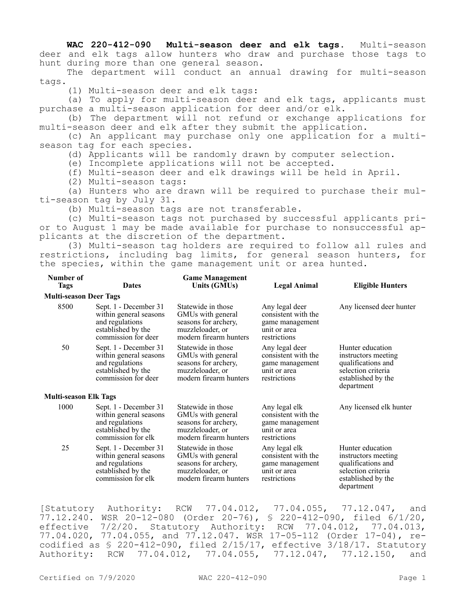**WAC 220-412-090 Multi-season deer and elk tags.** Multi-season deer and elk tags allow hunters who draw and purchase those tags to hunt during more than one general season.

The department will conduct an annual drawing for multi-season tags.

(1) Multi-season deer and elk tags:

(a) To apply for multi-season deer and elk tags, applicants must purchase a multi-season application for deer and/or elk.

(b) The department will not refund or exchange applications for multi-season deer and elk after they submit the application.

(c) An applicant may purchase only one application for a multiseason tag for each species.

(d) Applicants will be randomly drawn by computer selection.

(e) Incomplete applications will not be accepted.

(f) Multi-season deer and elk drawings will be held in April.

(2) Multi-season tags:

(a) Hunters who are drawn will be required to purchase their multi-season tag by July 31.

(b) Multi-season tags are not transferable.

(c) Multi-season tags not purchased by successful applicants prior to August 1 may be made available for purchase to nonsuccessful applicants at the discretion of the department.

(3) Multi-season tag holders are required to follow all rules and restrictions, including bag limits, for general season hunters, for the species, within the game management unit or area hunted.

| Number of<br><b>Tags</b>      | <b>Dates</b>                                                                                                    | <b>Game Management</b><br>Units (GMUs)                                                                        | Legal Animal                                                                             | <b>Eligible Hunters</b>                                                                                                 |
|-------------------------------|-----------------------------------------------------------------------------------------------------------------|---------------------------------------------------------------------------------------------------------------|------------------------------------------------------------------------------------------|-------------------------------------------------------------------------------------------------------------------------|
| <b>Multi-season Deer Tags</b> |                                                                                                                 |                                                                                                               |                                                                                          |                                                                                                                         |
| 8500                          | Sept. 1 - December 31<br>within general seasons<br>and regulations<br>established by the<br>commission for deer | Statewide in those<br>GMUs with general<br>seasons for archery,<br>muzzleloader, or<br>modern firearm hunters | Any legal deer<br>consistent with the<br>game management<br>unit or area<br>restrictions | Any licensed deer hunter                                                                                                |
| 50                            | Sept. 1 - December 31<br>within general seasons<br>and regulations<br>established by the<br>commission for deer | Statewide in those<br>GMUs with general<br>seasons for archery,<br>muzzleloader, or<br>modern firearm hunters | Any legal deer<br>consistent with the<br>game management<br>unit or area<br>restrictions | Hunter education<br>instructors meeting<br>qualifications and<br>selection criteria<br>established by the<br>department |
| <b>Multi-season Elk Tags</b>  |                                                                                                                 |                                                                                                               |                                                                                          |                                                                                                                         |
| 1000                          | Sept. 1 - December 31<br>within general seasons<br>and regulations<br>established by the<br>commission for elk  | Statewide in those<br>GMUs with general<br>seasons for archery,<br>muzzleloader, or<br>modern firearm hunters | Any legal elk<br>consistent with the<br>game management<br>unit or area<br>restrictions  | Any licensed elk hunter                                                                                                 |
| 25                            | Sept. 1 - December 31<br>within general seasons<br>and regulations<br>established by the<br>commission for elk  | Statewide in those<br>GMUs with general<br>seasons for archery,<br>muzzleloader, or<br>modern firearm hunters | Any legal elk<br>consistent with the<br>game management<br>unit or area<br>restrictions  | Hunter education<br>instructors meeting<br>qualifications and<br>selection criteria<br>established by the<br>department |

[Statutory Authority: RCW 77.04.012, 77.04.055, 77.12.047, and 77.12.240. WSR 20-12-080 (Order 20-76), § 220-412-090, filed 6/1/20, effective 7/2/20. Statutory Authority: RCW 77.04.012, 77.04.013, 77.04.020, 77.04.055, and 77.12.047. WSR 17-05-112 (Order 17-04), recodified as § 220-412-090, filed 2/15/17, effective 3/18/17. Statutory Authority: RCW 77.04.012, 77.04.055, 77.12.047, 77.12.150, and